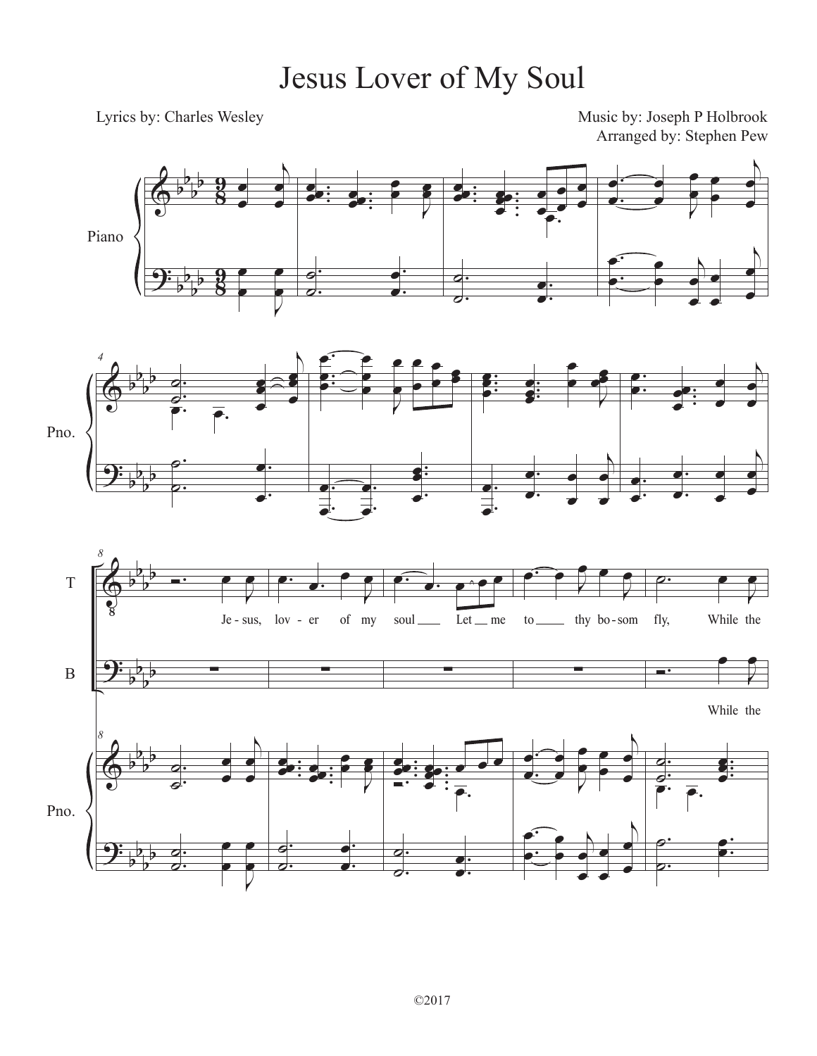## Jesus Lover of My Soul

Lyrics by: Charles Wesley

Music by: Joseph P Holbrook Arranged by: Stephen Pew





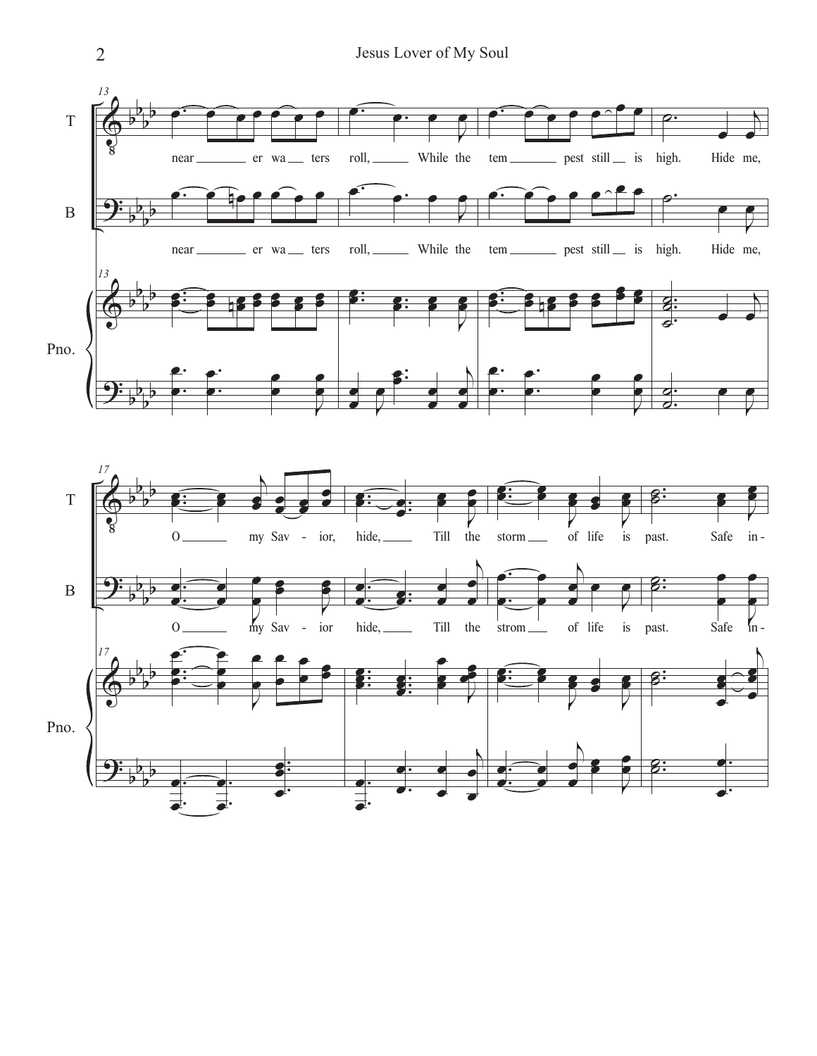



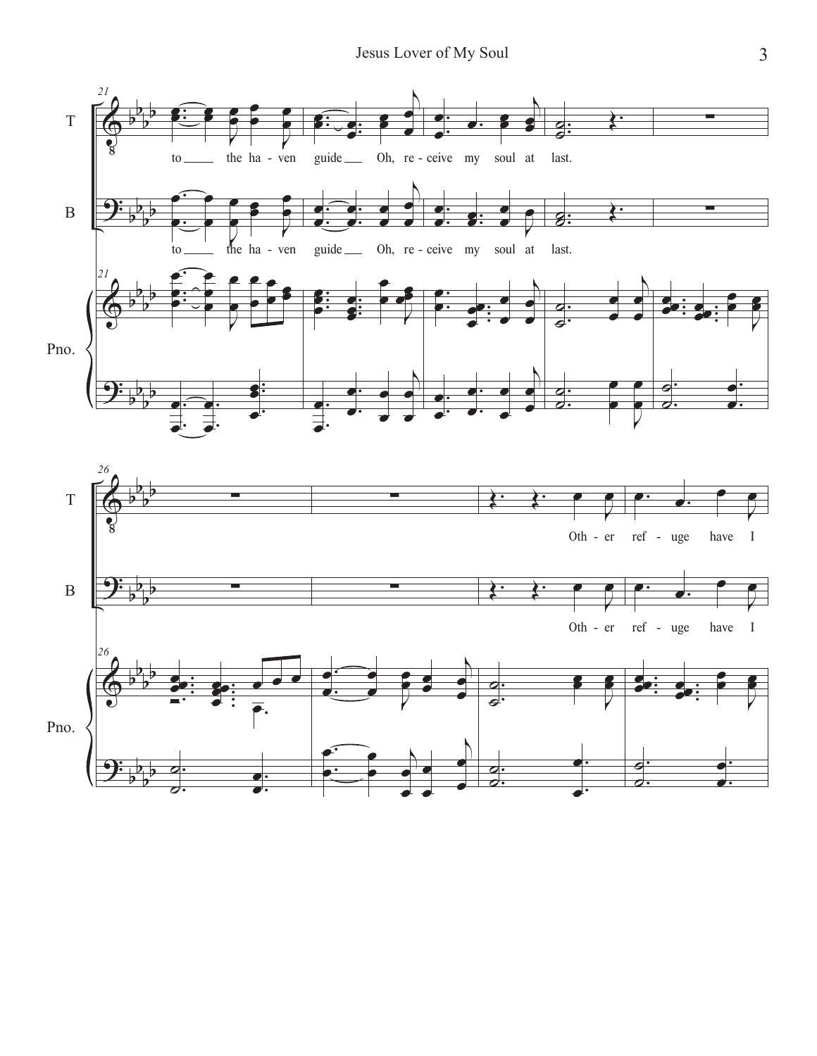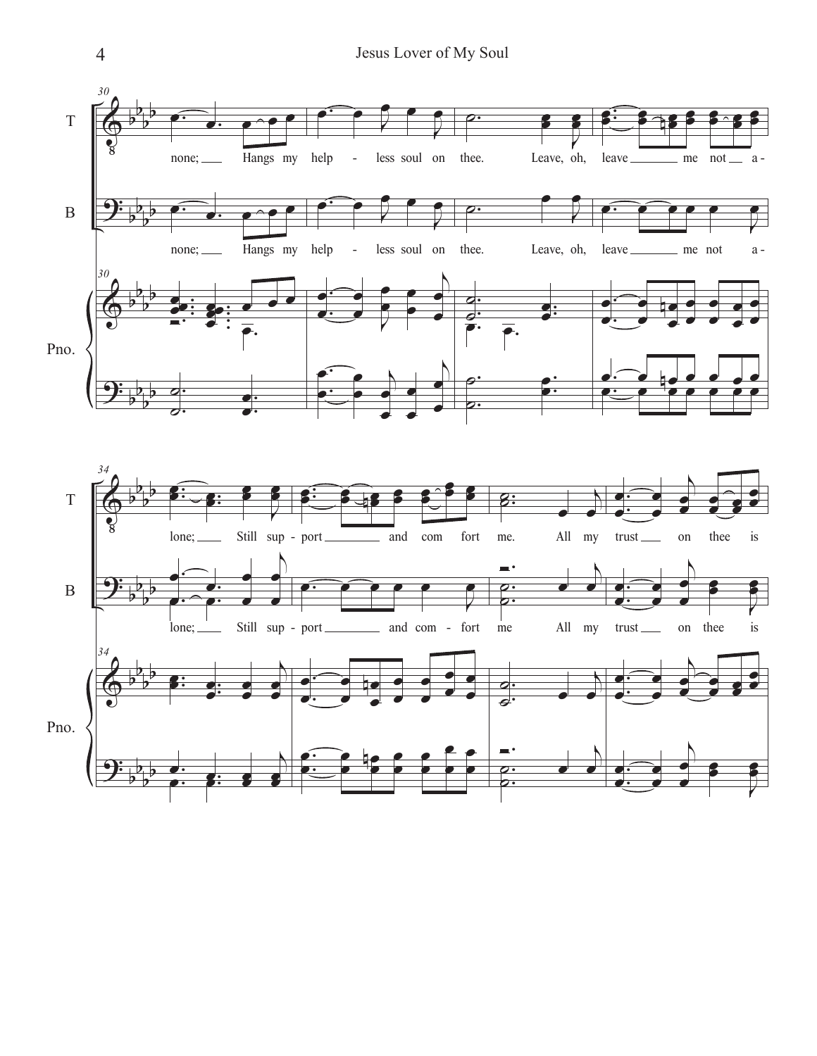